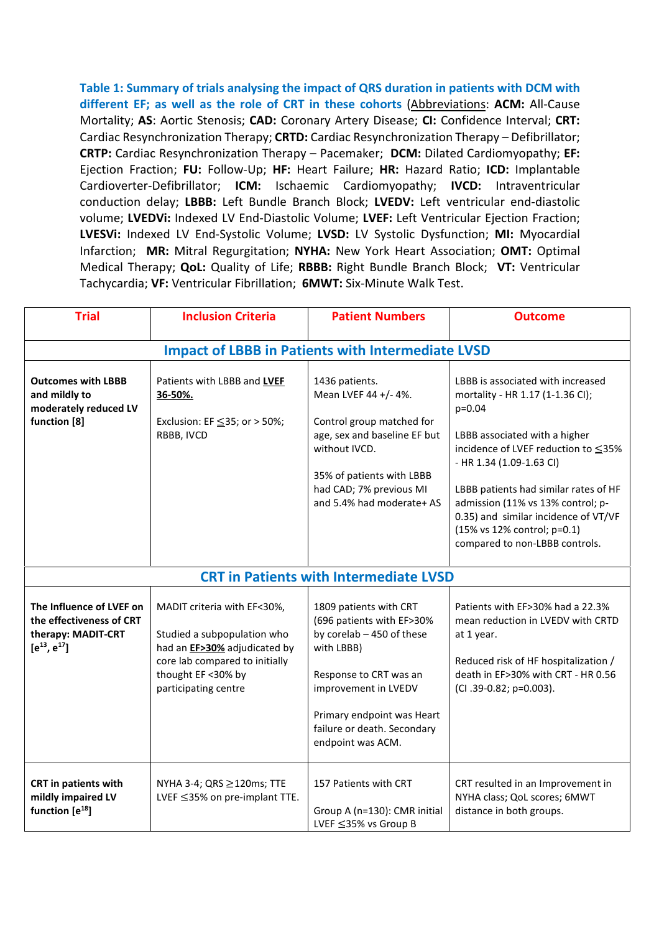**Table 1: Summary of trials analysing the impact of QRS duration in patients with DCM with different EF; as well as the role of CRT in these cohorts** (Abbreviations: **ACM:** All-Cause Mortality; **AS**: Aortic Stenosis; **CAD:** Coronary Artery Disease; **CI:** Confidence Interval; **CRT:** Cardiac Resynchronization Therapy; **CRTD:** Cardiac Resynchronization Therapy – Defibrillator; **CRTP:** Cardiac Resynchronization Therapy – Pacemaker; **DCM:** Dilated Cardiomyopathy; **EF:** Ejection Fraction; **FU:** Follow-Up; **HF:** Heart Failure; **HR:** Hazard Ratio; **ICD:** Implantable Cardioverter-Defibrillator; **ICM:** Ischaemic Cardiomyopathy; **IVCD:** Intraventricular conduction delay; **LBBB:** Left Bundle Branch Block; **LVEDV:** Left ventricular end-diastolic volume; **LVEDVi:** Indexed LV End-Diastolic Volume; **LVEF:** Left Ventricular Ejection Fraction; **LVESVi:** Indexed LV End-Systolic Volume; **LVSD:** LV Systolic Dysfunction; **MI:** Myocardial Infarction; **MR:** Mitral Regurgitation; **NYHA:** New York Heart Association; **OMT:** Optimal Medical Therapy; **QoL:** Quality of Life; **RBBB:** Right Bundle Branch Block; **VT:** Ventricular Tachycardia; **VF:** Ventricular Fibrillation; **6MWT:** Six-Minute Walk Test.

| <b>Trial</b>                                                                                     | <b>Inclusion Criteria</b>                                                                                                                                                            | <b>Patient Numbers</b>                                                                                                                                                                                                             | <b>Outcome</b>                                                                                                                                                                                                                                                                                                                                                               |  |  |  |
|--------------------------------------------------------------------------------------------------|--------------------------------------------------------------------------------------------------------------------------------------------------------------------------------------|------------------------------------------------------------------------------------------------------------------------------------------------------------------------------------------------------------------------------------|------------------------------------------------------------------------------------------------------------------------------------------------------------------------------------------------------------------------------------------------------------------------------------------------------------------------------------------------------------------------------|--|--|--|
| <b>Impact of LBBB in Patients with Intermediate LVSD</b>                                         |                                                                                                                                                                                      |                                                                                                                                                                                                                                    |                                                                                                                                                                                                                                                                                                                                                                              |  |  |  |
| <b>Outcomes with LBBB</b><br>and mildly to<br>moderately reduced LV<br>function [8]              | Patients with LBBB and LVEF<br>36-50%.<br>Exclusion: EF $\leq$ 35; or > 50%;<br>RBBB, IVCD                                                                                           | 1436 patients.<br>Mean LVEF 44 +/- 4%.<br>Control group matched for<br>age, sex and baseline EF but<br>without IVCD.<br>35% of patients with LBBB<br>had CAD; 7% previous MI<br>and 5.4% had moderate+ AS                          | LBBB is associated with increased<br>mortality - HR 1.17 (1-1.36 Cl);<br>$p=0.04$<br>LBBB associated with a higher<br>incidence of LVEF reduction to ≤35%<br>- HR 1.34 (1.09-1.63 CI)<br>LBBB patients had similar rates of HF<br>admission (11% vs 13% control; p-<br>0.35) and similar incidence of VT/VF<br>(15% vs 12% control; p=0.1)<br>compared to non-LBBB controls. |  |  |  |
| <b>CRT in Patients with Intermediate LVSD</b>                                                    |                                                                                                                                                                                      |                                                                                                                                                                                                                                    |                                                                                                                                                                                                                                                                                                                                                                              |  |  |  |
| The Influence of LVEF on<br>the effectiveness of CRT<br>therapy: MADIT-CRT<br>$[e^{13}, e^{17}]$ | MADIT criteria with EF<30%,<br>Studied a subpopulation who<br>had an <b>EF&gt;30%</b> adjudicated by<br>core lab compared to initially<br>thought EF <30% by<br>participating centre | 1809 patients with CRT<br>(696 patients with EF>30%<br>by corelab - 450 of these<br>with LBBB)<br>Response to CRT was an<br>improvement in LVEDV<br>Primary endpoint was Heart<br>failure or death. Secondary<br>endpoint was ACM. | Patients with EF>30% had a 22.3%<br>mean reduction in LVEDV with CRTD<br>at 1 year.<br>Reduced risk of HF hospitalization /<br>death in EF>30% with CRT - HR 0.56<br>(CI.39-0.82; p=0.003).                                                                                                                                                                                  |  |  |  |
| CRT in patients with<br>mildly impaired LV<br>function $[e^{18}]$                                | NYHA 3-4; QRS ≥120ms; TTE<br>LVEF ≤35% on pre-implant TTE.                                                                                                                           | 157 Patients with CRT<br>Group A (n=130): CMR initial<br>LVEF ≤35% vs Group B                                                                                                                                                      | CRT resulted in an Improvement in<br>NYHA class; QoL scores; 6MWT<br>distance in both groups.                                                                                                                                                                                                                                                                                |  |  |  |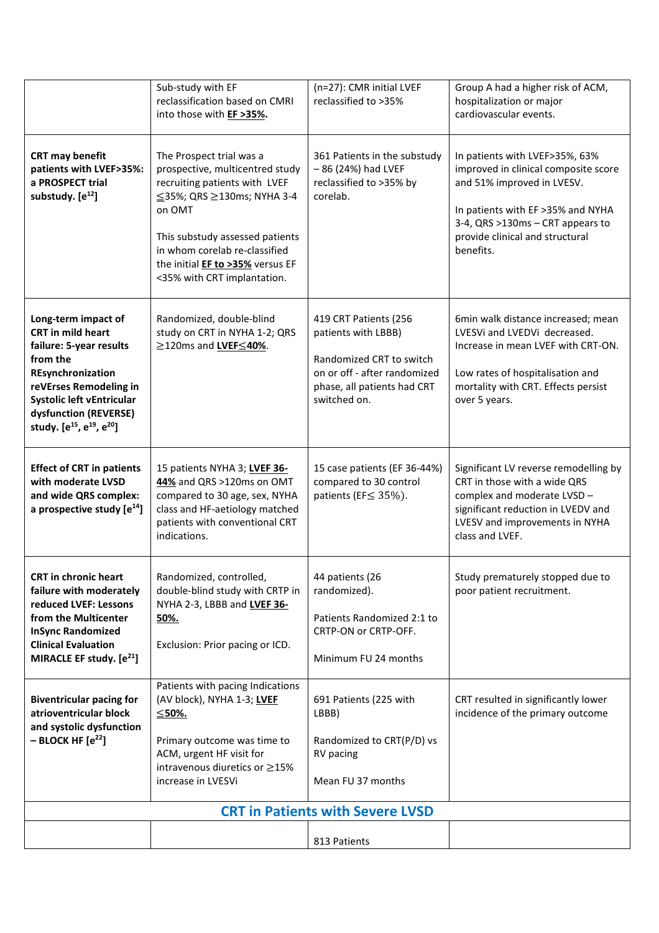|                                                                                                                                                                                                                                                              | Sub-study with EF<br>reclassification based on CMRI<br>into those with EF >35%.                                                                                                                                                                                             | (n=27): CMR initial LVEF<br>reclassified to >35%                                                                                                        | Group A had a higher risk of ACM,<br>hospitalization or major<br>cardiovascular events.                                                                                                                                       |  |  |
|--------------------------------------------------------------------------------------------------------------------------------------------------------------------------------------------------------------------------------------------------------------|-----------------------------------------------------------------------------------------------------------------------------------------------------------------------------------------------------------------------------------------------------------------------------|---------------------------------------------------------------------------------------------------------------------------------------------------------|-------------------------------------------------------------------------------------------------------------------------------------------------------------------------------------------------------------------------------|--|--|
| <b>CRT may benefit</b><br>patients with LVEF>35%:<br>a PROSPECT trial<br>substudy. $[e^{12}]$                                                                                                                                                                | The Prospect trial was a<br>prospective, multicentred study<br>recruiting patients with LVEF<br>≤35%; QRS ≥130ms; NYHA 3-4<br>on OMT<br>This substudy assessed patients<br>in whom corelab re-classified<br>the initial EF to >35% versus EF<br><35% with CRT implantation. | 361 Patients in the substudy<br>$-86$ (24%) had LVEF<br>reclassified to >35% by<br>corelab.                                                             | In patients with LVEF>35%, 63%<br>improved in clinical composite score<br>and 51% improved in LVESV.<br>In patients with EF >35% and NYHA<br>3-4, QRS >130ms - CRT appears to<br>provide clinical and structural<br>benefits. |  |  |
| Long-term impact of<br><b>CRT</b> in mild heart<br>failure: 5-year results<br>from the<br>REsynchronization<br>reVErses Remodeling in<br>Systolic left vEntricular<br>dysfunction (REVERSE)<br>study. [e <sup>15</sup> , e <sup>19</sup> , e <sup>20</sup> ] | Randomized, double-blind<br>study on CRT in NYHA 1-2; QRS<br>≥120ms and LVEF <40%.                                                                                                                                                                                          | 419 CRT Patients (256<br>patients with LBBB)<br>Randomized CRT to switch<br>on or off - after randomized<br>phase, all patients had CRT<br>switched on. | 6min walk distance increased; mean<br>LVESVi and LVEDVi decreased.<br>Increase in mean LVEF with CRT-ON.<br>Low rates of hospitalisation and<br>mortality with CRT. Effects persist<br>over 5 years.                          |  |  |
| <b>Effect of CRT in patients</b><br>with moderate LVSD<br>and wide QRS complex:<br>a prospective study $[e^{14}]$                                                                                                                                            | 15 patients NYHA 3; LVEF 36-<br>44% and QRS >120ms on OMT<br>compared to 30 age, sex, NYHA<br>class and HF-aetiology matched<br>patients with conventional CRT<br>indications.                                                                                              | 15 case patients (EF 36-44%)<br>compared to 30 control<br>patients (EF≤ 35%).                                                                           | Significant LV reverse remodelling by<br>CRT in those with a wide QRS<br>complex and moderate LVSD -<br>significant reduction in LVEDV and<br>LVESV and improvements in NYHA<br>class and LVEF.                               |  |  |
| <b>CRT in chronic heart</b><br>failure with moderately<br>reduced LVEF: Lessons<br>from the Multicenter<br><b>InSync Randomized</b><br><b>Clinical Evaluation</b><br>MIRACLE EF study. $[e^{21}]$                                                            | Randomized, controlled,<br>double-blind study with CRTP in<br>NYHA 2-3, LBBB and LVEF 36-<br>50%.<br>Exclusion: Prior pacing or ICD.                                                                                                                                        | 44 patients (26<br>randomized).<br>Patients Randomized 2:1 to<br>CRTP-ON or CRTP-OFF.<br>Minimum FU 24 months                                           | Study prematurely stopped due to<br>poor patient recruitment.                                                                                                                                                                 |  |  |
| <b>Biventricular pacing for</b><br>atrioventricular block<br>and systolic dysfunction<br>$-$ BLOCK HF $[e^{22}]$                                                                                                                                             | Patients with pacing Indications<br>(AV block), NYHA 1-3; LVEF<br>≤50%.<br>Primary outcome was time to<br>ACM, urgent HF visit for<br>intravenous diuretics or $\geq$ 15%<br>increase in LVESVi                                                                             | 691 Patients (225 with<br>LBBB)<br>Randomized to CRT(P/D) vs<br>RV pacing<br>Mean FU 37 months                                                          | CRT resulted in significantly lower<br>incidence of the primary outcome                                                                                                                                                       |  |  |
| <b>CRT in Patients with Severe LVSD</b>                                                                                                                                                                                                                      |                                                                                                                                                                                                                                                                             |                                                                                                                                                         |                                                                                                                                                                                                                               |  |  |
|                                                                                                                                                                                                                                                              |                                                                                                                                                                                                                                                                             | 813 Patients                                                                                                                                            |                                                                                                                                                                                                                               |  |  |